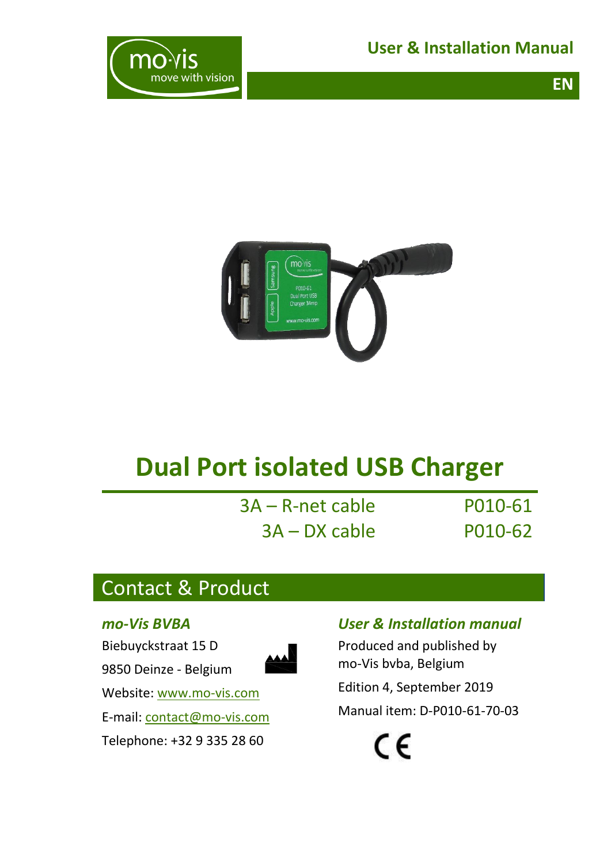**User & Installation Manual**

**EN**





# **Dual Port isolated USB Charger**

| 3A – R-net cable |  |
|------------------|--|
| 3A – DX cable    |  |

P010-61 P010-62

# <span id="page-0-0"></span>Contact & Product

#### *mo-Vis BVBA*

Biebuyckstraat 15 D



Website: [www.mo-vis.com](http://www.mo-vis.com/)

9850 Deinze - Belgium

E-mail: [contact@mo-vis.com](mailto:contact@mo-vis.com)

Telephone: +32 9 335 28 60

### *User & Installation manual*

Produced and published by mo-Vis bvba, Belgium

Edition 4, September 2019

Manual item: D-P010-61-70-03

 $\epsilon$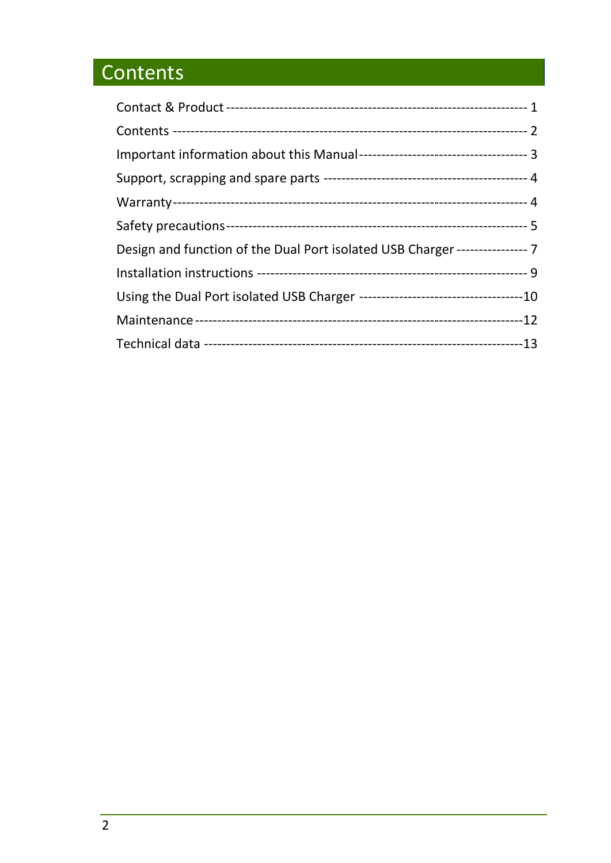# <span id="page-1-0"></span>Contents

| Design and function of the Dual Port isolated USB Charger ---------------- 7 |  |
|------------------------------------------------------------------------------|--|
|                                                                              |  |
|                                                                              |  |
|                                                                              |  |
|                                                                              |  |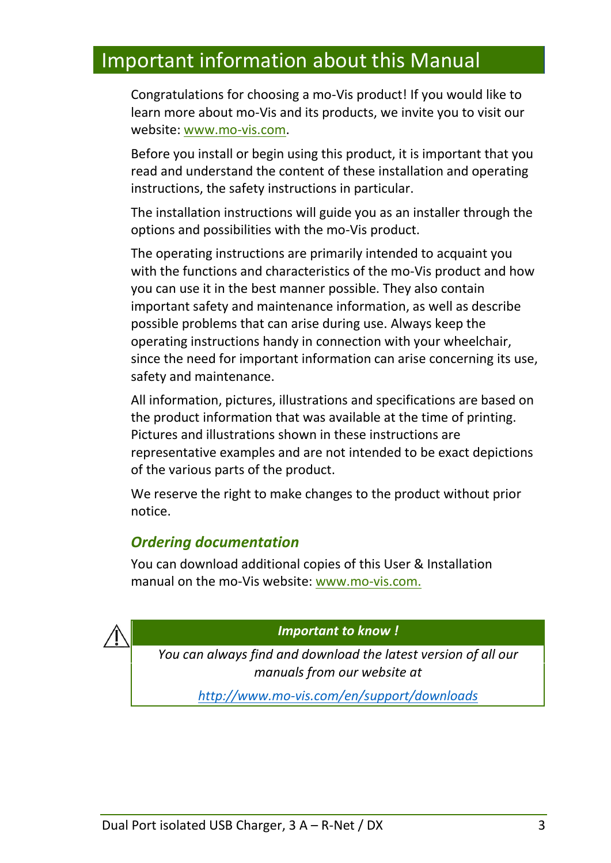## <span id="page-2-0"></span>Important information about this Manual

Congratulations for choosing a mo-Vis product! If you would like to learn more about mo-Vis and its products, we invite you to visit our website: [www.mo-vis.com.](http://www.mo-vis.com/)

Before you install or begin using this product, it is important that you read and understand the content of these installation and operating instructions, the safety instructions in particular.

The installation instructions will guide you as an installer through the options and possibilities with the mo-Vis product.

The operating instructions are primarily intended to acquaint you with the functions and characteristics of the mo-Vis product and how you can use it in the best manner possible. They also contain important safety and maintenance information, as well as describe possible problems that can arise during use. Always keep the operating instructions handy in connection with your wheelchair, since the need for important information can arise concerning its use, safety and maintenance.

All information, pictures, illustrations and specifications are based on the product information that was available at the time of printing. Pictures and illustrations shown in these instructions are representative examples and are not intended to be exact depictions of the various parts of the product.

We reserve the right to make changes to the product without prior notice.

### *Ordering documentation*

You can download additional copies of this User & Installation manual on the mo-Vis website: [www.mo-vis.com.](http://www.mo-vis.com/)

*Important to know !*

*You can always find and download the latest version of all our manuals from our website at* 

*<http://www.mo-vis.com/en/support/downloads>*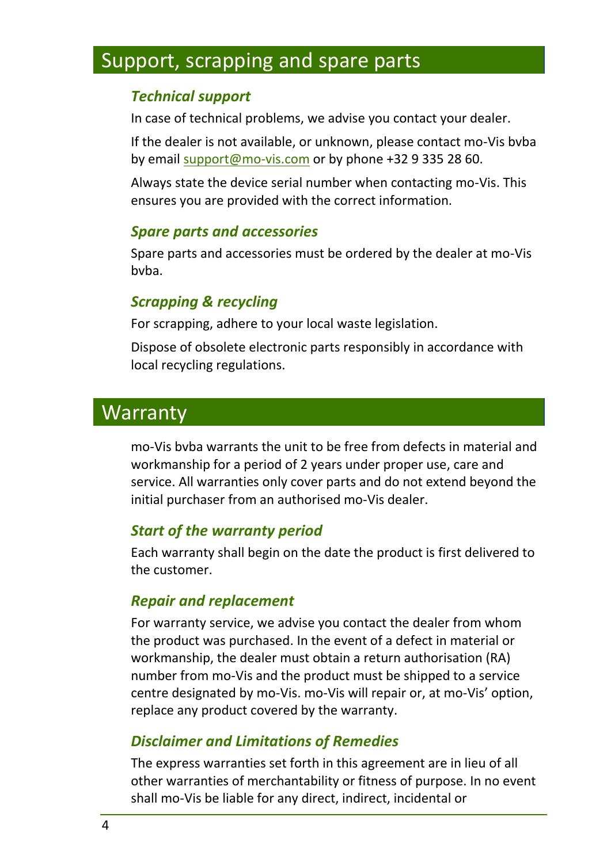# <span id="page-3-0"></span>Support, scrapping and spare parts

### *Technical support*

In case of technical problems, we advise you contact your dealer.

If the dealer is not available, or unknown, please contact mo-Vis bvba by email [support@mo-vis.com](mailto:support@mo-vis.com) or by phone +32 9 335 28 60.

Always state the device serial number when contacting mo-Vis. This ensures you are provided with the correct information.

### *Spare parts and accessories*

Spare parts and accessories must be ordered by the dealer at mo-Vis bvba.

### *Scrapping & recycling*

For scrapping, adhere to your local waste legislation.

Dispose of obsolete electronic parts responsibly in accordance with local recycling regulations.

## <span id="page-3-1"></span>Warranty

mo-Vis bvba warrants the unit to be free from defects in material and workmanship for a period of 2 years under proper use, care and service. All warranties only cover parts and do not extend beyond the initial purchaser from an authorised mo-Vis dealer.

### *Start of the warranty period*

Each warranty shall begin on the date the product is first delivered to the customer.

### *Repair and replacement*

For warranty service, we advise you contact the dealer from whom the product was purchased. In the event of a defect in material or workmanship, the dealer must obtain a return authorisation (RA) number from mo-Vis and the product must be shipped to a service centre designated by mo-Vis. mo-Vis will repair or, at mo-Vis' option, replace any product covered by the warranty.

### *Disclaimer and Limitations of Remedies*

The express warranties set forth in this agreement are in lieu of all other warranties of merchantability or fitness of purpose. In no event shall mo-Vis be liable for any direct, indirect, incidental or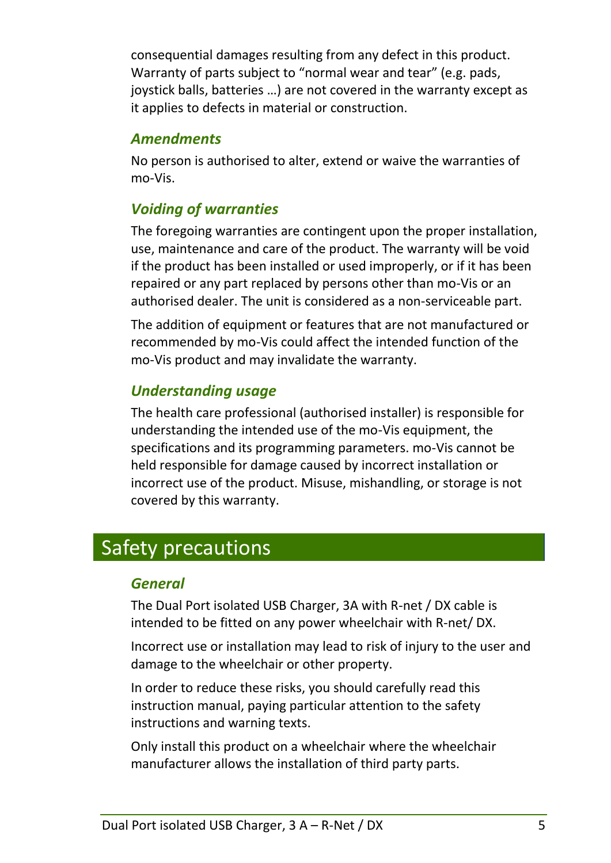consequential damages resulting from any defect in this product. Warranty of parts subject to "normal wear and tear" (e.g. pads, joystick balls, batteries …) are not covered in the warranty except as it applies to defects in material or construction.

### *Amendments*

No person is authorised to alter, extend or waive the warranties of mo-Vis.

### *Voiding of warranties*

The foregoing warranties are contingent upon the proper installation, use, maintenance and care of the product. The warranty will be void if the product has been installed or used improperly, or if it has been repaired or any part replaced by persons other than mo-Vis or an authorised dealer. The unit is considered as a non-serviceable part.

The addition of equipment or features that are not manufactured or recommended by mo-Vis could affect the intended function of the mo-Vis product and may invalidate the warranty.

### *Understanding usage*

The health care professional (authorised installer) is responsible for understanding the intended use of the mo-Vis equipment, the specifications and its programming parameters. mo-Vis cannot be held responsible for damage caused by incorrect installation or incorrect use of the product. Misuse, mishandling, or storage is not covered by this warranty.

# <span id="page-4-0"></span>Safety precautions

### *General*

The Dual Port isolated USB Charger, 3A with R-net / DX cable is intended to be fitted on any power wheelchair with R-net/ DX.

Incorrect use or installation may lead to risk of injury to the user and damage to the wheelchair or other property.

In order to reduce these risks, you should carefully read this instruction manual, paying particular attention to the safety instructions and warning texts.

Only install this product on a wheelchair where the wheelchair manufacturer allows the installation of third party parts.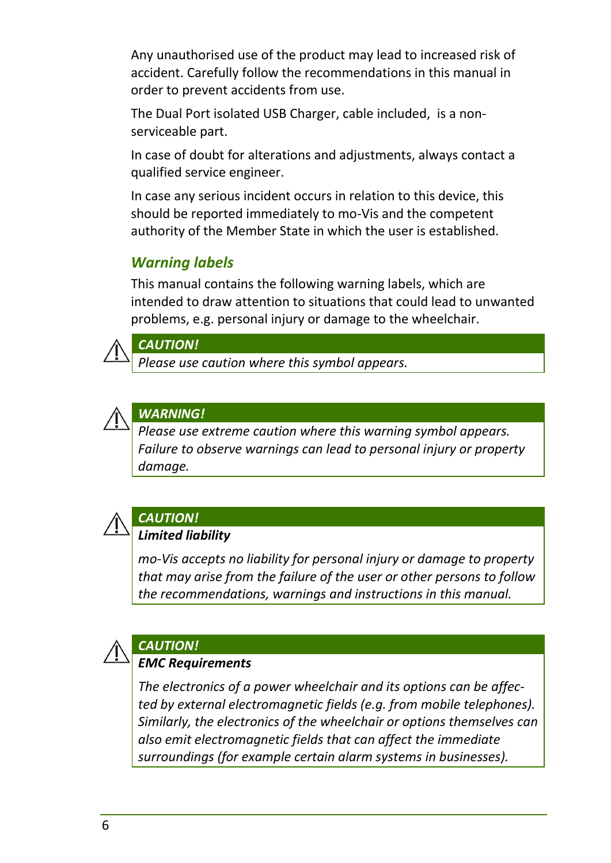Any unauthorised use of the product may lead to increased risk of accident. Carefully follow the recommendations in this manual in order to prevent accidents from use.

The Dual Port isolated USB Charger, cable included, is a nonserviceable part.

In case of doubt for alterations and adjustments, always contact a qualified service engineer.

In case any serious incident occurs in relation to this device, this should be reported immediately to mo-Vis and the competent authority of the Member State in which the user is established.

### *Warning labels*

This manual contains the following warning labels, which are intended to draw attention to situations that could lead to unwanted problems, e.g. personal injury or damage to the wheelchair.



#### *CAUTION!*

*Please use caution where this symbol appears.*



### *WARNING!*

*Please use extreme caution where this warning symbol appears. Failure to observe warnings can lead to personal injury or property damage.*



#### *CAUTION! Limited liability*

*mo-Vis accepts no liability for personal injury or damage to property that may arise from the failure of the user or other persons to follow the recommendations, warnings and instructions in this manual.*



### *CAUTION!*

#### *EMC Requirements*

*The electronics of a power wheelchair and its options can be affected by external electromagnetic fields (e.g. from mobile telephones). Similarly, the electronics of the wheelchair or options themselves can also emit electromagnetic fields that can affect the immediate surroundings (for example certain alarm systems in businesses).*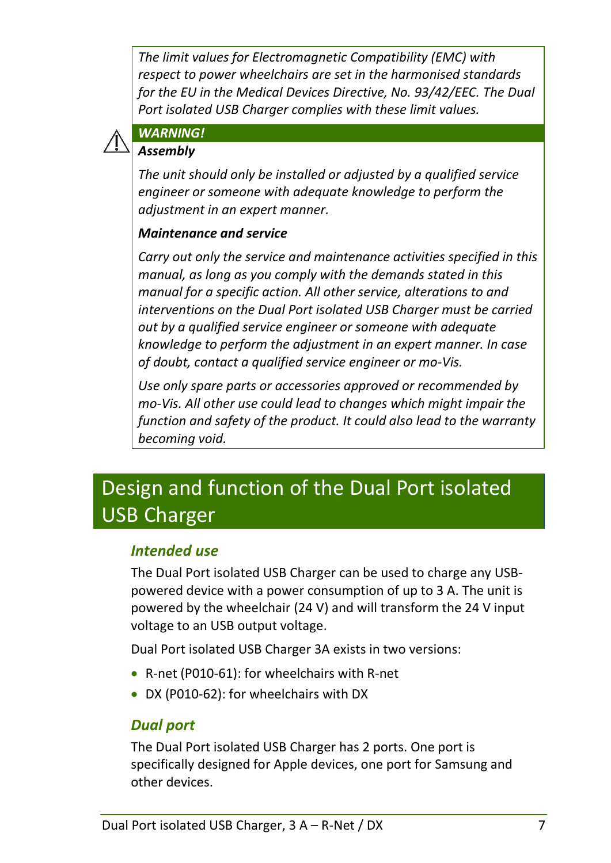*The limit values for Electromagnetic Compatibility (EMC) with respect to power wheelchairs are set in the harmonised standards for the EU in the Medical Devices Directive, No. 93/42/EEC. The Dual Port isolated USB Charger complies with these limit values.*



### *WARNING!*

#### *Assembly*

*The unit should only be installed or adjusted by a qualified service engineer or someone with adequate knowledge to perform the adjustment in an expert manner.*

#### *Maintenance and service*

*Carry out only the service and maintenance activities specified in this manual, as long as you comply with the demands stated in this manual for a specific action. All other service, alterations to and interventions on the Dual Port isolated USB Charger must be carried out by a qualified service engineer or someone with adequate knowledge to perform the adjustment in an expert manner. In case of doubt, contact a qualified service engineer or mo-Vis.*

*Use only spare parts or accessories approved or recommended by mo-Vis. All other use could lead to changes which might impair the function and safety of the product. It could also lead to the warranty becoming void.*

# <span id="page-6-0"></span>Design and function of the Dual Port isolated USB Charger

#### *Intended use*

The Dual Port isolated USB Charger can be used to charge any USBpowered device with a power consumption of up to 3 A. The unit is powered by the wheelchair (24 V) and will transform the 24 V input voltage to an USB output voltage.

Dual Port isolated USB Charger 3A exists in two versions:

- R-net (P010-61): for wheelchairs with R-net
- DX (P010-62): for wheelchairs with DX

### *Dual port*

The Dual Port isolated USB Charger has 2 ports. One port is specifically designed for Apple devices, one port for Samsung and other devices.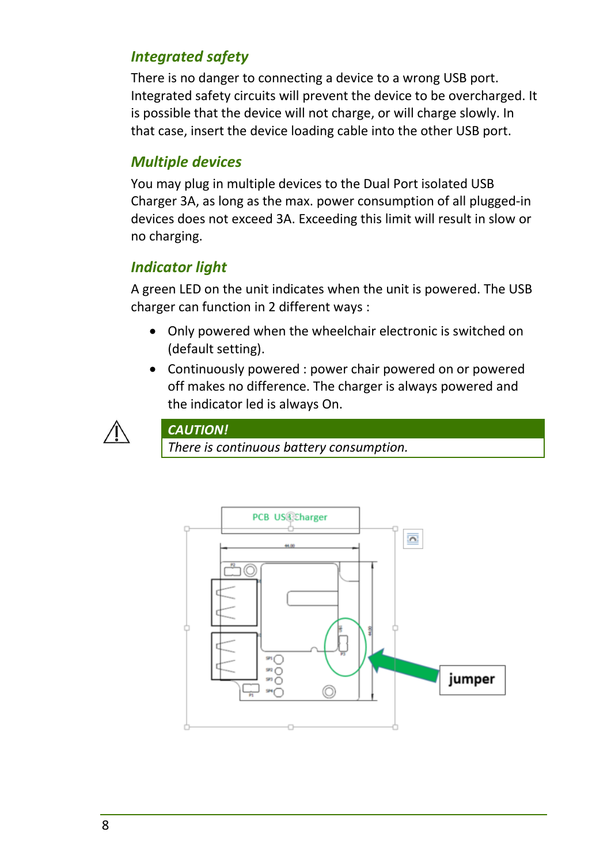### *Integrated safety*

There is no danger to connecting a device to a wrong USB port. Integrated safety circuits will prevent the device to be overcharged. It is possible that the device will not charge, or will charge slowly. In that case, insert the device loading cable into the other USB port.

### *Multiple devices*

You may plug in multiple devices to the Dual Port isolated USB Charger 3A, as long as the max. power consumption of all plugged-in devices does not exceed 3A. Exceeding this limit will result in slow or no charging.

### *Indicator light*

A green LED on the unit indicates when the unit is powered. The USB charger can function in 2 different ways :

- Only powered when the wheelchair electronic is switched on (default setting).
- Continuously powered : power chair powered on or powered off makes no difference. The charger is always powered and the indicator led is always On.



*CAUTION!*

*There is continuous battery consumption.*

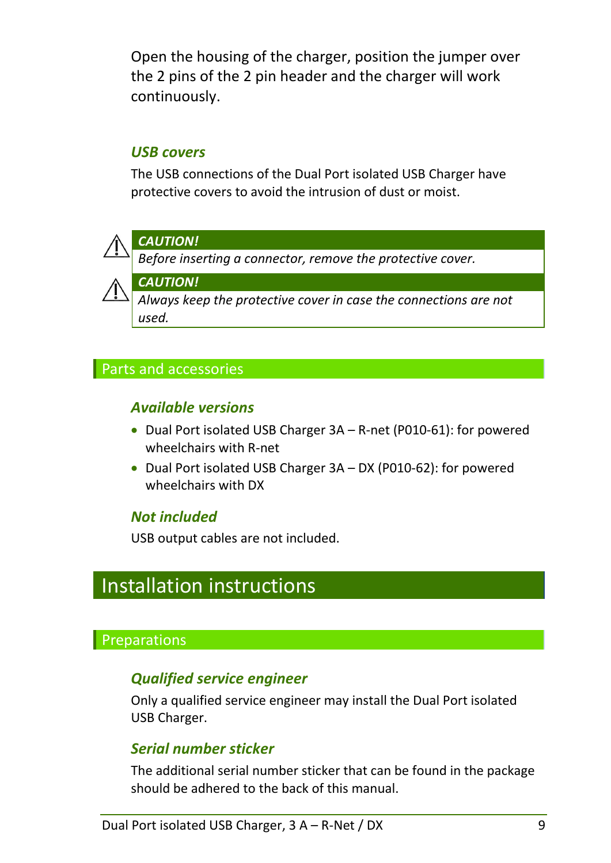Open the housing of the charger, position the jumper over the 2 pins of the 2 pin header and the charger will work continuously.

### *USB covers*

The USB connections of the Dual Port isolated USB Charger have protective covers to avoid the intrusion of dust or moist.



### *CAUTION!*

*Before inserting a connector, remove the protective cover.*

*CAUTION!*

*Always keep the protective cover in case the connections are not used.*

### Parts and accessories

### *Available versions*

- Dual Port isolated USB Charger 3A R-net (P010-61): for powered wheelchairs with R-net
- Dual Port isolated USB Charger 3A DX (P010-62): for powered wheelchairs with DX

### *Not included*

USB output cables are not included.

# <span id="page-8-0"></span>Installation instructions

### Preparations

### *Qualified service engineer*

Only a qualified service engineer may install the Dual Port isolated USB Charger.

### *Serial number sticker*

The additional serial number sticker that can be found in the package should be adhered to the back of this manual.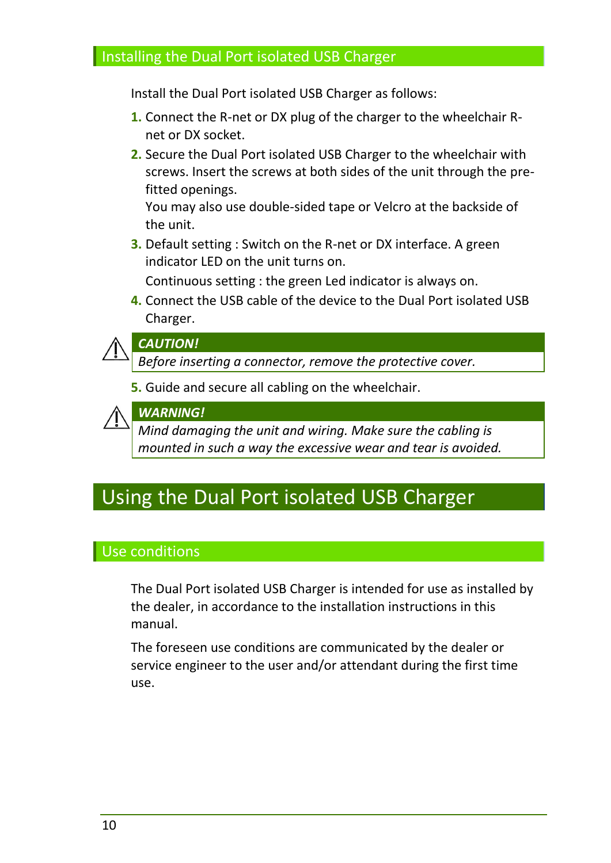#### **Installing the Dual Port isolated USB Charger**

Install the Dual Port isolated USB Charger as follows:

- **1.** Connect the R-net or DX plug of the charger to the wheelchair Rnet or DX socket.
- **2.** Secure the Dual Port isolated USB Charger to the wheelchair with screws. Insert the screws at both sides of the unit through the prefitted openings.

You may also use double-sided tape or Velcro at the backside of the unit.

**3.** Default setting : Switch on the R-net or DX interface. A green indicator LED on the unit turns on.

Continuous setting : the green Led indicator is always on.

**4.** Connect the USB cable of the device to the Dual Port isolated USB Charger.



#### *CAUTION!*

*Before inserting a connector, remove the protective cover.*

**5.** Guide and secure all cabling on the wheelchair.



*Mind damaging the unit and wiring. Make sure the cabling is mounted in such a way the excessive wear and tear is avoided.*

## <span id="page-9-0"></span>Using the Dual Port isolated USB Charger

### Use conditions

The Dual Port isolated USB Charger is intended for use as installed by the dealer, in accordance to the installation instructions in this manual.

The foreseen use conditions are communicated by the dealer or service engineer to the user and/or attendant during the first time use.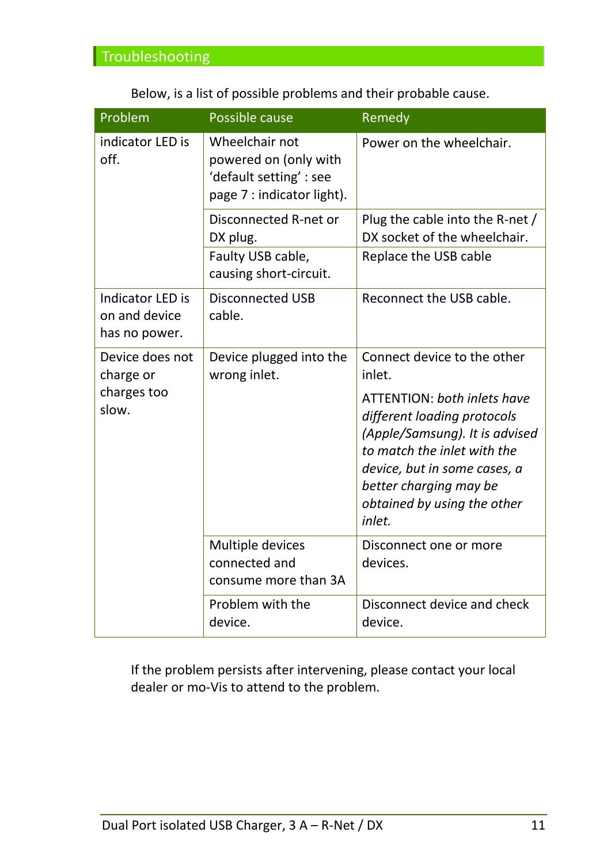|  |  |  | Below, is a list of possible problems and their probable cause. |
|--|--|--|-----------------------------------------------------------------|
|--|--|--|-----------------------------------------------------------------|

| Problem                                                   | Possible cause                                                                                   | Remedy                                                                                                                                                                                                                                |
|-----------------------------------------------------------|--------------------------------------------------------------------------------------------------|---------------------------------------------------------------------------------------------------------------------------------------------------------------------------------------------------------------------------------------|
| indicator LED is<br>off.                                  | Wheelchair not<br>powered on (only with<br>'default setting' : see<br>page 7 : indicator light). | Power on the wheelchair.                                                                                                                                                                                                              |
|                                                           | Disconnected R-net or<br>DX plug.                                                                | Plug the cable into the R-net /<br>DX socket of the wheelchair.                                                                                                                                                                       |
|                                                           | Faulty USB cable,<br>causing short-circuit.                                                      | Replace the USB cable                                                                                                                                                                                                                 |
| <b>Indicator LED is</b><br>on and device<br>has no power. | <b>Disconnected USB</b><br>cable.                                                                | Reconnect the USB cable.                                                                                                                                                                                                              |
| Device does not<br>charge or                              | Device plugged into the<br>wrong inlet.                                                          | Connect device to the other<br>inlet.                                                                                                                                                                                                 |
| charges too<br>slow.                                      |                                                                                                  | <b>ATTENTION: both inlets have</b><br>different loading protocols<br>(Apple/Samsung). It is advised<br>to match the inlet with the<br>device, but in some cases, a<br>better charging may be<br>obtained by using the other<br>inlet. |
|                                                           | Multiple devices<br>connected and<br>consume more than 3A                                        | Disconnect one or more<br>devices.                                                                                                                                                                                                    |
|                                                           | Problem with the<br>device.                                                                      | Disconnect device and check<br>device.                                                                                                                                                                                                |

If the problem persists after intervening, please contact your local dealer or mo-Vis to attend to the problem.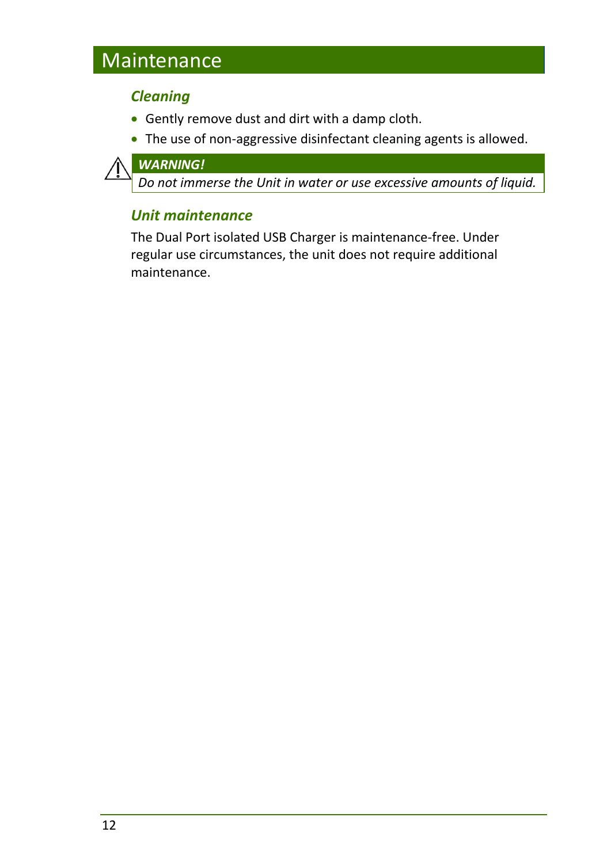# <span id="page-11-0"></span>**Maintenance**

### *Cleaning*

- Gently remove dust and dirt with a damp cloth.
- The use of non-aggressive disinfectant cleaning agents is allowed.



*Do not immerse the Unit in water or use excessive amounts of liquid.*

### *Unit maintenance*

The Dual Port isolated USB Charger is maintenance-free. Under regular use circumstances, the unit does not require additional maintenance.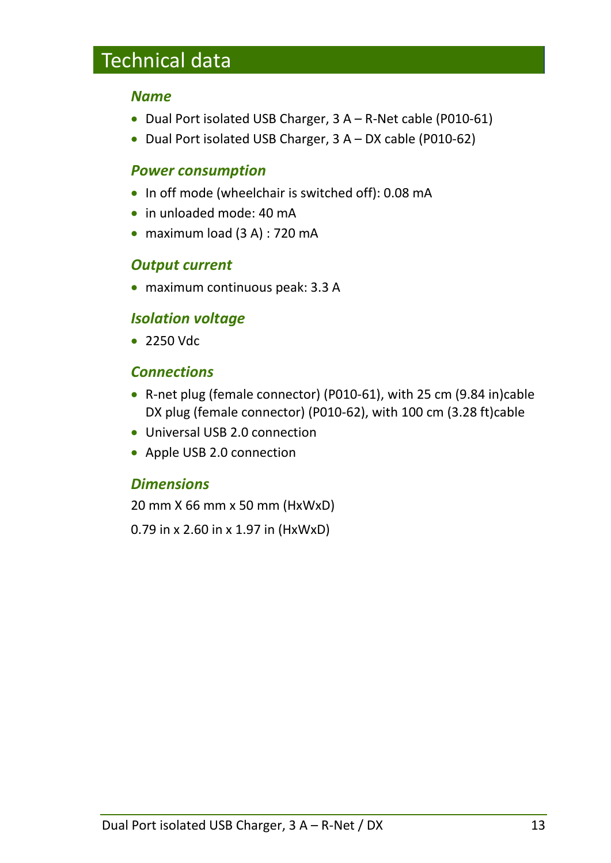# <span id="page-12-0"></span>Technical data

#### *Name*

- Dual Port isolated USB Charger, 3 A R-Net cable (P010-61)
- Dual Port isolated USB Charger, 3 A DX cable (P010-62)

### *Power consumption*

- In off mode (wheelchair is switched off): 0.08 mA
- in unloaded mode: 40 mA
- maximum load (3 A) : 720 mA

### *Output current*

maximum continuous peak: 3.3 A

### *Isolation voltage*

• 2250 Vdc

### *Connections*

- R-net plug (female connector) (P010-61), with 25 cm (9.84 in)cable DX plug (female connector) (P010-62), with 100 cm (3.28 ft)cable
- Universal USB 2.0 connection
- Apple USB 2.0 connection

### *Dimensions*

20 mm X 66 mm x 50 mm (HxWxD)

0.79 in x 2.60 in x 1.97 in (HxWxD)